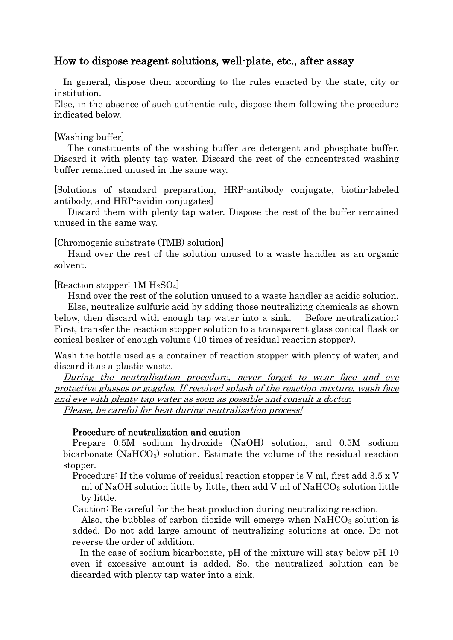## How to dispose reagent solutions, well-plate, etc., after assay

 In general, dispose them according to the rules enacted by the state, city or institution.

Else, in the absence of such authentic rule, dispose them following the procedure indicated below.

## [Washing buffer]

 The constituents of the washing buffer are detergent and phosphate buffer. Discard it with plenty tap water. Discard the rest of the concentrated washing buffer remained unused in the same way.

[Solutions of standard preparation, HRP-antibody conjugate, biotin-labeled antibody, and HRP-avidin conjugates]

 Discard them with plenty tap water. Dispose the rest of the buffer remained unused in the same way.

[Chromogenic substrate (TMB) solution]

 Hand over the rest of the solution unused to a waste handler as an organic solvent.

[Reaction stopper:  $1M H_2SO<sub>4</sub>$ ]

Hand over the rest of the solution unused to a waste handler as acidic solution.

 Else, neutralize sulfuric acid by adding those neutralizing chemicals as shown below, then discard with enough tap water into a sink. Before neutralization: First, transfer the reaction stopper solution to a transparent glass conical flask or conical beaker of enough volume (10 times of residual reaction stopper).

Wash the bottle used as a container of reaction stopper with plenty of water, and discard it as a plastic waste.

 During the neutralization procedure, never forget to wear face and eye protective glasses or goggles. If received splash of the reaction mixture, wash face and eye with plenty tap water as soon as possible and consult a doctor. Please, be careful for heat during neutralization process!

## Procedure of neutralization and caution

 Prepare 0.5M sodium hydroxide (NaOH) solution, and 0.5M sodium bicarbonate (NaHCO<sub>3</sub>) solution. Estimate the volume of the residual reaction stopper.

 Procedure: If the volume of residual reaction stopper is V ml, first add 3.5 x V ml of NaOH solution little by little, then add V ml of  $NAHCO<sub>3</sub>$  solution little by little.

Caution: Be careful for the heat production during neutralizing reaction.

Also, the bubbles of carbon dioxide will emerge when  $NAHCO<sub>3</sub>$  solution is added. Do not add large amount of neutralizing solutions at once. Do not reverse the order of addition.

In the case of sodium bicarbonate, pH of the mixture will stay below pH 10 even if excessive amount is added. So, the neutralized solution can be discarded with plenty tap water into a sink.